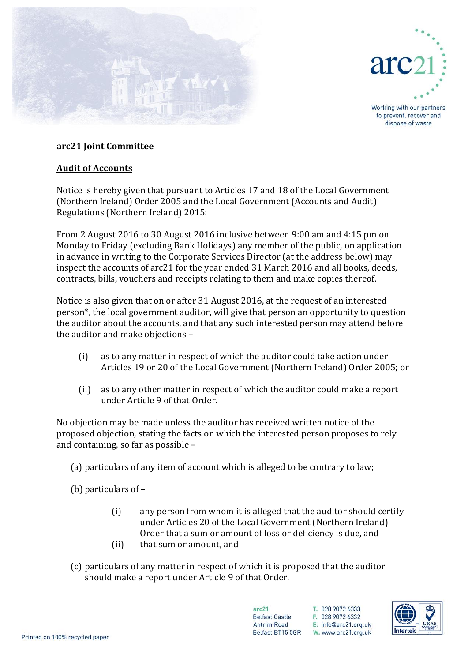



Working with our partners to prevent, recover and dispose of waste

## **arc21 Joint Committee**

## **Audit of Accounts**

Notice is hereby given that pursuant to Articles 17 and 18 of the Local Government (Northern Ireland) Order 2005 and the Local Government (Accounts and Audit) Regulations (Northern Ireland) 2015:

From 2 August 2016 to 30 August 2016 inclusive between 9:00 am and 4:15 pm on Monday to Friday (excluding Bank Holidays) any member of the public, on application in advance in writing to the Corporate Services Director (at the address below) may inspect the accounts of arc21 for the year ended 31 March 2016 and all books, deeds, contracts, bills, vouchers and receipts relating to them and make copies thereof.

Notice is also given that on or after 31 August 2016, at the request of an interested person\*, the local government auditor, will give that person an opportunity to question the auditor about the accounts, and that any such interested person may attend before the auditor and make objections –

- (i) as to any matter in respect of which the auditor could take action under Articles 19 or 20 of the Local Government (Northern Ireland) Order 2005; or
- (ii) as to any other matter in respect of which the auditor could make a report under Article 9 of that Order.

No objection may be made unless the auditor has received written notice of the proposed objection, stating the facts on which the interested person proposes to rely and containing, so far as possible –

(a) particulars of any item of account which is alleged to be contrary to law;

(b) particulars of –

- (i) any person from whom it is alleged that the auditor should certify under Articles 20 of the Local Government (Northern Ireland) Order that a sum or amount of loss or deficiency is due, and
- (ii) that sum or amount, and
- (c) particulars of any matter in respect of which it is proposed that the auditor should make a report under Article 9 of that Order.